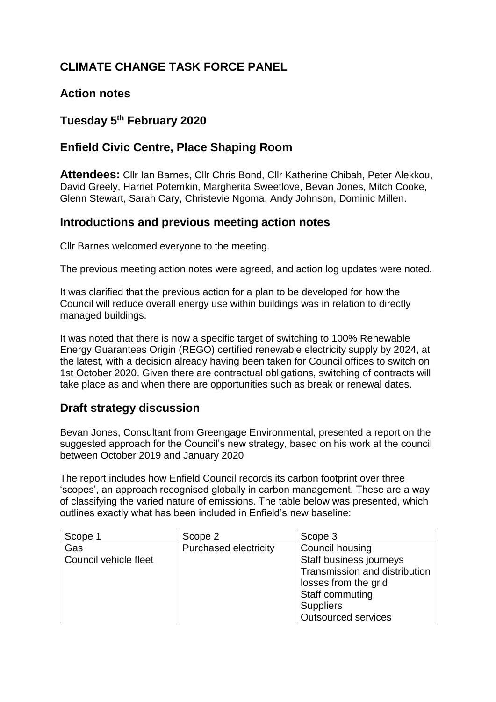# **CLIMATE CHANGE TASK FORCE PANEL**

## **Action notes**

## **Tuesday 5 th February 2020**

## **Enfield Civic Centre, Place Shaping Room**

**Attendees:** Cllr Ian Barnes, Cllr Chris Bond, Cllr Katherine Chibah, Peter Alekkou, David Greely, Harriet Potemkin, Margherita Sweetlove, Bevan Jones, Mitch Cooke, Glenn Stewart, Sarah Cary, Christevie Ngoma, Andy Johnson, Dominic Millen.

### **Introductions and previous meeting action notes**

Cllr Barnes welcomed everyone to the meeting.

The previous meeting action notes were agreed, and action log updates were noted.

It was clarified that the previous action for a plan to be developed for how the Council will reduce overall energy use within buildings was in relation to directly managed buildings.

It was noted that there is now a specific target of switching to 100% Renewable Energy Guarantees Origin (REGO) certified renewable electricity supply by 2024, at the latest, with a decision already having been taken for Council offices to switch on 1st October 2020. Given there are contractual obligations, switching of contracts will take place as and when there are opportunities such as break or renewal dates.

### **Draft strategy discussion**

Bevan Jones, Consultant from Greengage Environmental, presented a report on the suggested approach for the Council's new strategy, based on his work at the council between October 2019 and January 2020

The report includes how Enfield Council records its carbon footprint over three 'scopes', an approach recognised globally in carbon management. These are a way of classifying the varied nature of emissions. The table below was presented, which outlines exactly what has been included in Enfield's new baseline:

| Scope 1               | Scope 2                      | Scope 3                       |
|-----------------------|------------------------------|-------------------------------|
| Gas                   | <b>Purchased electricity</b> | Council housing               |
| Council vehicle fleet |                              | Staff business journeys       |
|                       |                              | Transmission and distribution |
|                       |                              | losses from the grid          |
|                       |                              | Staff commuting               |
|                       |                              | <b>Suppliers</b>              |
|                       |                              | <b>Outsourced services</b>    |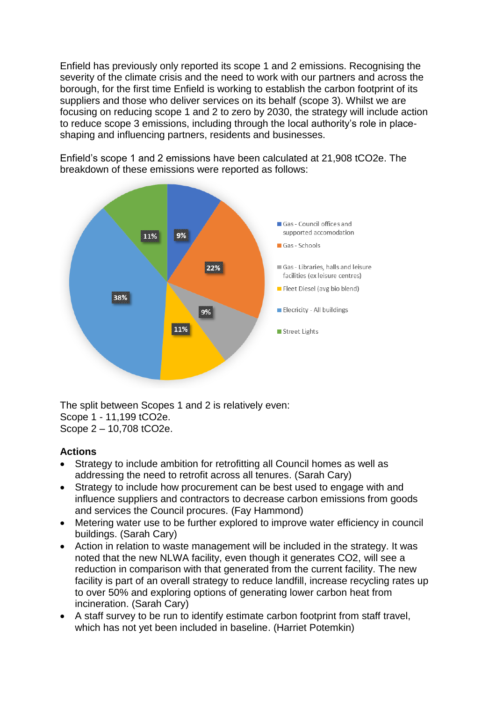Enfield has previously only reported its scope 1 and 2 emissions. Recognising the severity of the climate crisis and the need to work with our partners and across the borough, for the first time Enfield is working to establish the carbon footprint of its suppliers and those who deliver services on its behalf (scope 3). Whilst we are focusing on reducing scope 1 and 2 to zero by 2030, the strategy will include action to reduce scope 3 emissions, including through the local authority's role in placeshaping and influencing partners, residents and businesses.



Enfield's scope 1 and 2 emissions have been calculated at 21,908 tCO2e. The breakdown of these emissions were reported as follows:

The split between Scopes 1 and 2 is relatively even: Scope 1 - 11,199 tCO2e. Scope 2 – 10,708 tCO2e.

#### **Actions**

- Strategy to include ambition for retrofitting all Council homes as well as addressing the need to retrofit across all tenures. (Sarah Cary)
- Strategy to include how procurement can be best used to engage with and influence suppliers and contractors to decrease carbon emissions from goods and services the Council procures. (Fay Hammond)
- Metering water use to be further explored to improve water efficiency in council buildings. (Sarah Cary)
- Action in relation to waste management will be included in the strategy. It was noted that the new NLWA facility, even though it generates CO2, will see a reduction in comparison with that generated from the current facility. The new facility is part of an overall strategy to reduce landfill, increase recycling rates up to over 50% and exploring options of generating lower carbon heat from incineration. (Sarah Cary)
- A staff survey to be run to identify estimate carbon footprint from staff travel, which has not yet been included in baseline. (Harriet Potemkin)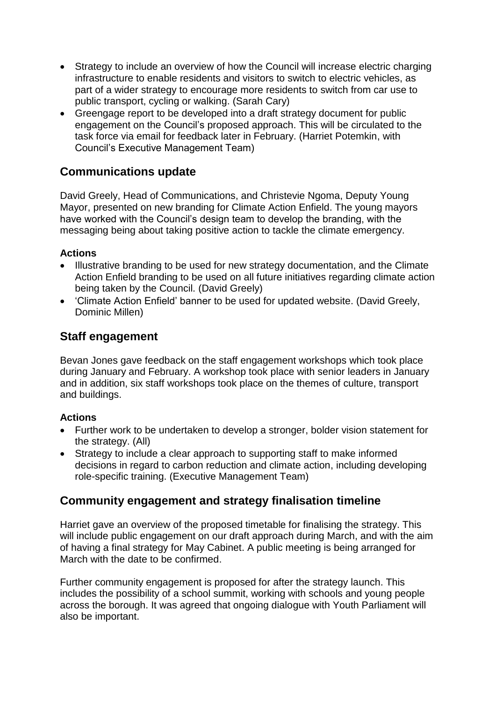- Strategy to include an overview of how the Council will increase electric charging infrastructure to enable residents and visitors to switch to electric vehicles, as part of a wider strategy to encourage more residents to switch from car use to public transport, cycling or walking. (Sarah Cary)
- Greengage report to be developed into a draft strategy document for public engagement on the Council's proposed approach. This will be circulated to the task force via email for feedback later in February. (Harriet Potemkin, with Council's Executive Management Team)

## **Communications update**

David Greely, Head of Communications, and Christevie Ngoma, Deputy Young Mayor, presented on new branding for Climate Action Enfield. The young mayors have worked with the Council's design team to develop the branding, with the messaging being about taking positive action to tackle the climate emergency.

#### **Actions**

- Illustrative branding to be used for new strategy documentation, and the Climate Action Enfield branding to be used on all future initiatives regarding climate action being taken by the Council. (David Greely)
- 'Climate Action Enfield' banner to be used for updated website. (David Greely, Dominic Millen)

### **Staff engagement**

Bevan Jones gave feedback on the staff engagement workshops which took place during January and February. A workshop took place with senior leaders in January and in addition, six staff workshops took place on the themes of culture, transport and buildings.

#### **Actions**

- Further work to be undertaken to develop a stronger, bolder vision statement for the strategy. (All)
- Strategy to include a clear approach to supporting staff to make informed decisions in regard to carbon reduction and climate action, including developing role-specific training. (Executive Management Team)

### **Community engagement and strategy finalisation timeline**

Harriet gave an overview of the proposed timetable for finalising the strategy. This will include public engagement on our draft approach during March, and with the aim of having a final strategy for May Cabinet. A public meeting is being arranged for March with the date to be confirmed.

Further community engagement is proposed for after the strategy launch. This includes the possibility of a school summit, working with schools and young people across the borough. It was agreed that ongoing dialogue with Youth Parliament will also be important.